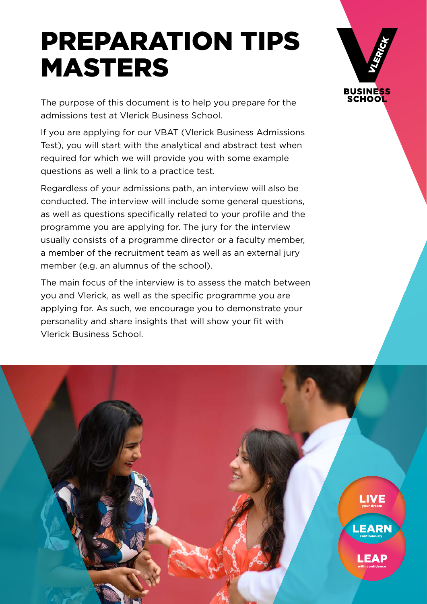# PREPARATION TIPS MASTERS

The purpose of this document is to help you prepare for the admissions test at Vlerick Business School.

If you are applying for our VBAT (Vlerick Business Admissions Test), you will start with the analytical and abstract test when required for which we will provide you with some example questions as well a link to a practice test.

Regardless of your admissions path, an interview will also be conducted. The interview will include some general questions, as well as questions specifically related to your profile and the programme you are applying for. The jury for the interview usually consists of a programme director or a faculty member, a member of the recruitment team as well as an external jury member (e.g. an alumnus of the school).

The main focus of the interview is to assess the match between you and Vlerick, as well as the specific programme you are applying for. As such, we encourage you to demonstrate your personality and share insights that will show your fit with Vlerick Business School.



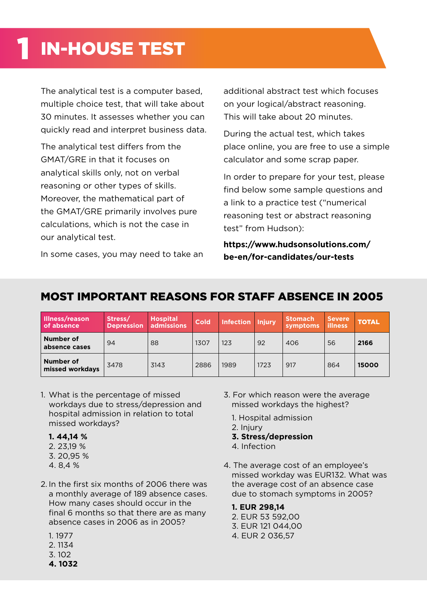## **IN-HOUSE TEST**

The analytical test is a computer based, multiple choice test, that will take about 30 minutes. It assesses whether you can quickly read and interpret business data.

The analytical test differs from the GMAT/GRE in that it focuses on analytical skills only, not on verbal reasoning or other types of skills. Moreover, the mathematical part of the GMAT/GRE primarily involves pure calculations, which is not the case in our analytical test.

additional abstract test which focuses on your logical/abstract reasoning. This will take about 20 minutes.

During the actual test, which takes place online, you are free to use a simple calculator and some scrap paper.

In order to prepare for your test, please find below some sample questions and a link to a practice test ("numerical reasoning test or abstract reasoning test" from Hudson):

**[https://www.hudsonsolutions.com/](https://www.hudsonsolutions.com/be-en/for-candidates/our-tests) [be-en/for-candidates/our-tests](https://www.hudsonsolutions.com/be-en/for-candidates/our-tests)**

In some cases, you may need to take an

## MOST IMPORTANT REASONS FOR STAFF ABSENCE IN 2005

| Illness/reason<br>of absence, | Stress/<br>Depression admissions | <b>Hospital</b> | <b>Cold</b> | <b>Infection Injury</b> |      | <b>Stomach</b><br>symptoms | <b>Severe</b><br><b>illness</b> | <b>TOTAL</b> |
|-------------------------------|----------------------------------|-----------------|-------------|-------------------------|------|----------------------------|---------------------------------|--------------|
| Number of<br>absence cases    | 94                               | 88              | 1307        | 123                     | 92   | 406                        | 56                              | 2166         |
| Number of<br>missed workdays  | 3478                             | 3143            | 2886        | 1989                    | 1723 | 917                        | 864                             | 15000        |

- 1. What is the percentage of missed workdays due to stress/depression and hospital admission in relation to total missed workdays?
	- **1. 44,14 %**
	- 2. 23,19 %
	- 3. 20,95 %
	- 4. 8,4 %
- 2. In the first six months of 2006 there was a monthly average of 189 absence cases. How many cases should occur in the final 6 months so that there are as many absence cases in 2006 as in 2005?
	- 1. 1977
	- 2. 1134
	- 3. 102
	- **4. 1032**
- 3. For which reason were the average missed workdays the highest?
	- 1. Hospital admission
	- 2. Injury
	- **3. Stress/depression**
	- 4. Infection
- 4. The average cost of an employee's missed workday was EUR132. What was the average cost of an absence case due to stomach symptoms in 2005?

#### **1. EUR 298,14**

2. EUR 53 592,00 3. EUR 121 044,00

4. EUR 2 036,57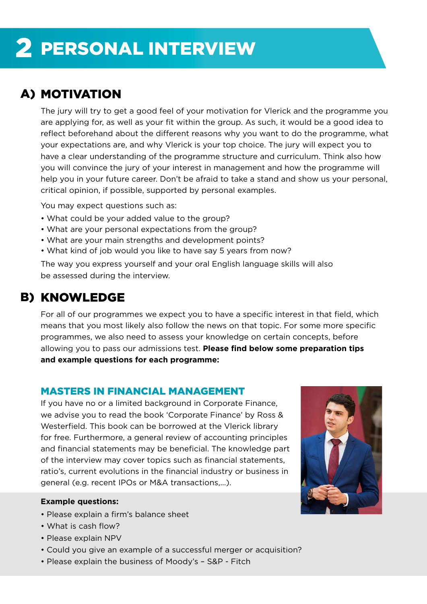# 2 PERSONAL INTERVIEW

## A) MOTIVATION

The jury will try to get a good feel of your motivation for Vlerick and the programme you are applying for, as well as your fit within the group. As such, it would be a good idea to reflect beforehand about the different reasons why you want to do the programme, what your expectations are, and why Vlerick is your top choice. The jury will expect you to have a clear understanding of the programme structure and curriculum. Think also how you will convince the jury of your interest in management and how the programme will help you in your future career. Don't be afraid to take a stand and show us your personal, critical opinion, if possible, supported by personal examples.

You may expect questions such as:

- What could be your added value to the group?
- What are your personal expectations from the group?
- What are your main strengths and development points?
- What kind of job would you like to have say 5 years from now?

The way you express yourself and your oral English language skills will also be assessed during the interview.

## B) KNOWLEDGE

For all of our programmes we expect you to have a specific interest in that field, which means that you most likely also follow the news on that topic. For some more specific programmes, we also need to assess your knowledge on certain concepts, before allowing you to pass our admissions test. **Please find below some preparation tips and example questions for each programme:**

### MASTERS IN FINANCIAL MANAGEMENT

If you have no or a limited background in Corporate Finance, we advise you to read the book 'Corporate Finance' by Ross & Westerfield. This book can be borrowed at the Vlerick library for free. Furthermore, a general review of accounting principles and financial statements may be beneficial. The knowledge part of the interview may cover topics such as financial statements, ratio's, current evolutions in the financial industry or business in general (e.g. recent IPOs or M&A transactions,...).

#### **Example questions:**

- Please explain a firm's balance sheet
- What is cash flow?
- Please explain NPV
- Could you give an example of a successful merger or acquisition?
- Please explain the business of Moody's S&P Fitch

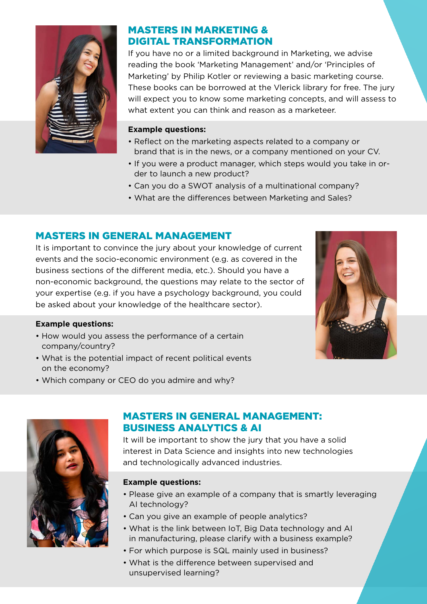

## MASTERS IN MARKETING & DIGITAL TRANSFORMATION

If you have no or a limited background in Marketing, we advise reading the book 'Marketing Management' and/or 'Principles of Marketing' by Philip Kotler or reviewing a basic marketing course. These books can be borrowed at the Vlerick library for free. The jury will expect you to know some marketing concepts, and will assess to what extent you can think and reason as a marketeer.

#### **Example questions:**

- Reflect on the marketing aspects related to a company or brand that is in the news, or a company mentioned on your CV.
- If you were a product manager, which steps would you take in order to launch a new product?
- Can you do a SWOT analysis of a multinational company?
- What are the differences between Marketing and Sales?

## MASTERS IN GENERAL MANAGEMENT

It is important to convince the jury about your knowledge of current events and the socio-economic environment (e.g. as covered in the business sections of the different media, etc.). Should you have a non-economic background, the questions may relate to the sector of your expertise (e.g. if you have a psychology background, you could be asked about your knowledge of the healthcare sector).



#### **Example questions:**

- How would you assess the performance of a certain company/country?
- What is the potential impact of recent political events on the economy?
- Which company or CEO do you admire and why?



### MASTERS IN GENERAL MANAGEMENT: BUSINESS ANALYTICS & AI

It will be important to show the jury that you have a solid interest in Data Science and insights into new technologies and technologically advanced industries.

#### **Example questions:**

- Please give an example of a company that is smartly leveraging AI technology?
- Can you give an example of people analytics?
- What is the link between IoT, Big Data technology and AI in manufacturing, please clarify with a business example?
- For which purpose is SQL mainly used in business?
- What is the difference between supervised and unsupervised learning?